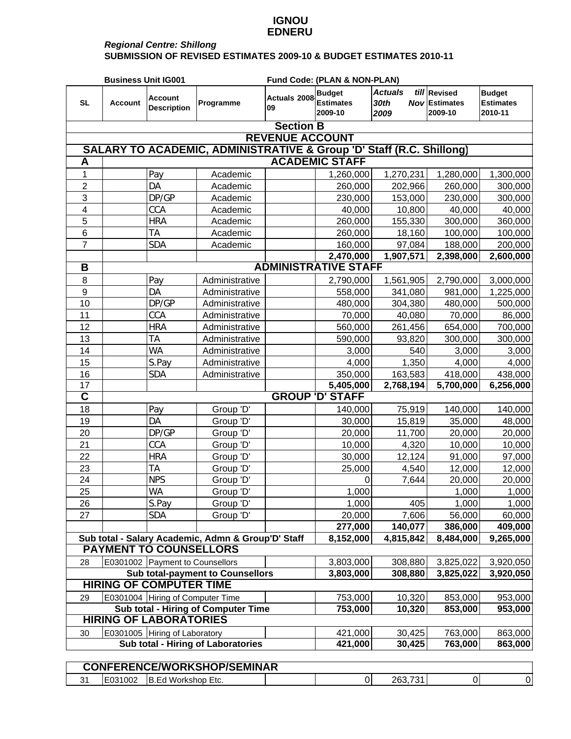## **IGNOU EDNERU**

## *Regional Centre: Shillong* **SUBMISSION OF REVISED ESTIMATES 2009-10 & BUDGET ESTIMATES 2010-11**

|                                                                                 | <b>Business Unit IG001</b>                                                                                                              |                                      |                |                    | Fund Code: (PLAN & NON-PLAN)                 |                                |                                                 |                                              |  |  |
|---------------------------------------------------------------------------------|-----------------------------------------------------------------------------------------------------------------------------------------|--------------------------------------|----------------|--------------------|----------------------------------------------|--------------------------------|-------------------------------------------------|----------------------------------------------|--|--|
| <b>SL</b>                                                                       | <b>Account</b>                                                                                                                          | <b>Account</b><br><b>Description</b> | Programme      | Actuals 2008<br>09 | <b>Budget</b><br><b>Estimates</b><br>2009-10 | <b>Actuals</b><br>30th<br>2009 | till Revised<br><b>Nov Estimates</b><br>2009-10 | <b>Budget</b><br><b>Estimates</b><br>2010-11 |  |  |
|                                                                                 |                                                                                                                                         |                                      |                | <b>Section B</b>   |                                              |                                |                                                 |                                              |  |  |
| <b>REVENUE ACCOUNT</b>                                                          |                                                                                                                                         |                                      |                |                    |                                              |                                |                                                 |                                              |  |  |
| <b>SALARY TO ACADEMIC, ADMINISTRATIVE &amp; Group 'D' Staff (R.C. Shillong)</b> |                                                                                                                                         |                                      |                |                    |                                              |                                |                                                 |                                              |  |  |
| <b>ACADEMIC STAFF</b><br>A                                                      |                                                                                                                                         |                                      |                |                    |                                              |                                |                                                 |                                              |  |  |
| 1                                                                               |                                                                                                                                         | Pay                                  | Academic       |                    | 1,260,000                                    | 1,270,231                      | 1,280,000                                       | 1,300,000                                    |  |  |
| $\overline{2}$                                                                  |                                                                                                                                         | DA                                   | Academic       |                    | 260,000                                      | 202,966                        | 260,000                                         | 300,000                                      |  |  |
| 3                                                                               |                                                                                                                                         | DP/GP                                | Academic       |                    | 230,000                                      | 153,000                        | 230,000                                         | 300,000                                      |  |  |
| $\overline{\mathcal{A}}$                                                        |                                                                                                                                         | CCA                                  | Academic       |                    | 40,000                                       | 10,800                         | 40,000                                          | 40,000                                       |  |  |
| 5                                                                               |                                                                                                                                         | <b>HRA</b>                           | Academic       |                    | 260,000                                      | 155,330                        | 300,000                                         | 360,000                                      |  |  |
| 6                                                                               |                                                                                                                                         | <b>TA</b>                            | Academic       |                    | 260,000                                      | 18,160                         | 100,000                                         | 100,000                                      |  |  |
| $\overline{7}$                                                                  |                                                                                                                                         | <b>SDA</b>                           | Academic       |                    | 160,000                                      | 97,084                         | 188,000                                         | 200,000                                      |  |  |
|                                                                                 |                                                                                                                                         |                                      |                |                    | 2,470,000                                    | 1,907,571                      | 2,398,000                                       | 2,600,000                                    |  |  |
| B                                                                               |                                                                                                                                         |                                      |                |                    | <b>ADMINISTRATIVE STAFF</b>                  |                                |                                                 |                                              |  |  |
| 8                                                                               |                                                                                                                                         | Pay                                  | Administrative |                    | 2,790,000                                    | 1,561,905                      | 2,790,000                                       | 3,000,000                                    |  |  |
| $9\,$                                                                           |                                                                                                                                         | DA                                   | Administrative |                    | 558,000                                      | 341,080                        | 981,000                                         | 1,225,000                                    |  |  |
| 10                                                                              |                                                                                                                                         | DP/GP                                | Administrative |                    | 480,000                                      | 304,380                        | 480,000                                         | 500,000                                      |  |  |
| 11                                                                              |                                                                                                                                         | CCA                                  | Administrative |                    | 70,000                                       | 40,080                         | 70,000                                          | 86,000                                       |  |  |
| 12                                                                              |                                                                                                                                         | <b>HRA</b>                           | Administrative |                    | 560,000                                      | 261,456                        | 654,000                                         | 700,000                                      |  |  |
| 13                                                                              |                                                                                                                                         | <b>TA</b>                            | Administrative |                    | 590,000                                      | 93,820                         | 300,000                                         | 300,000                                      |  |  |
| 14                                                                              |                                                                                                                                         | <b>WA</b>                            | Administrative |                    | 3,000                                        | 540                            | 3,000                                           | 3,000                                        |  |  |
| 15                                                                              |                                                                                                                                         | S.Pay                                | Administrative |                    | 4,000                                        | 1,350                          | 4,000                                           | 4,000                                        |  |  |
| 16                                                                              |                                                                                                                                         | <b>SDA</b>                           | Administrative |                    | 350,000                                      | 163,583                        | 418,000                                         | 438,000                                      |  |  |
| 17                                                                              |                                                                                                                                         |                                      |                |                    | 5,405,000                                    | 2,768,194                      | 5,700,000                                       | 6,256,000                                    |  |  |
| $\overline{\mathsf{c}}$                                                         |                                                                                                                                         |                                      |                |                    | <b>GROUP 'D' STAFF</b>                       |                                |                                                 |                                              |  |  |
| 18                                                                              |                                                                                                                                         | Pay                                  | Group 'D'      |                    | 140,000                                      | 75,919                         | 140,000                                         | 140,000                                      |  |  |
| 19                                                                              |                                                                                                                                         | DA                                   | Group 'D'      |                    | 30,000                                       | 15,819                         | 35,000                                          | 48,000                                       |  |  |
| 20                                                                              |                                                                                                                                         | DP/GP                                | Group 'D'      |                    | 20,000                                       | 11,700                         | 20,000                                          | 20,000                                       |  |  |
| 21                                                                              |                                                                                                                                         | CCA                                  | Group 'D'      |                    | 10,000                                       | 4,320                          | 10,000                                          | 10,000                                       |  |  |
| 22                                                                              |                                                                                                                                         | <b>HRA</b>                           | Group 'D'      |                    | 30,000                                       | 12,124                         | 91,000                                          | 97,000                                       |  |  |
| 23                                                                              |                                                                                                                                         | <b>TA</b>                            | Group 'D'      |                    | 25,000                                       | 4,540                          | 12,000                                          | 12,000                                       |  |  |
| 24                                                                              |                                                                                                                                         | <b>NPS</b>                           | Group 'D'      |                    | 0                                            | 7,644                          | 20,000                                          | 20,000                                       |  |  |
| 25                                                                              |                                                                                                                                         | WA                                   | Group 'D'      |                    | 1,000                                        |                                | 1,000                                           | 1,000                                        |  |  |
| 26                                                                              |                                                                                                                                         | S.Pay                                | Group 'D'      |                    | 1,000                                        | 405                            | 1,000                                           | 1,000                                        |  |  |
| 27                                                                              |                                                                                                                                         | <b>SDA</b>                           | Group 'D'      |                    | 20,000                                       | 7,606                          | 56,000                                          | 60,000                                       |  |  |
|                                                                                 |                                                                                                                                         |                                      |                |                    | 277,000                                      | 140,077                        | 386,000                                         | 409,000                                      |  |  |
|                                                                                 | Sub total - Salary Academic, Admn & Group'D' Staff<br>8,152,000<br>8,484,000<br>4,815,842<br>9,265,000<br><b>PAYMENT TO COUNSELLORS</b> |                                      |                |                    |                                              |                                |                                                 |                                              |  |  |
|                                                                                 |                                                                                                                                         |                                      |                |                    |                                              |                                |                                                 |                                              |  |  |
| 28                                                                              |                                                                                                                                         | E0301002 Payment to Counsellors      |                |                    | 3,803,000                                    | 308,880                        | 3,825,022                                       | 3,920,050                                    |  |  |
|                                                                                 | Sub total-payment to Counsellors<br><b>HIRING OF COMPUTER TIME</b>                                                                      |                                      |                |                    | 3,803,000                                    | 308,880                        | 3,825,022                                       | 3,920,050                                    |  |  |
|                                                                                 |                                                                                                                                         |                                      |                |                    |                                              |                                |                                                 |                                              |  |  |
| 29                                                                              |                                                                                                                                         | E0301004 Hiring of Computer Time     |                |                    | 753,000                                      | 10,320                         | 853,000                                         | 953,000                                      |  |  |
|                                                                                 | Sub total - Hiring of Computer Time<br>753,000<br>10,320<br>853,000<br>953,000                                                          |                                      |                |                    |                                              |                                |                                                 |                                              |  |  |
| <b>HIRING OF LABORATORIES</b><br>E0301005 Hiring of Laboratory                  |                                                                                                                                         |                                      |                |                    |                                              |                                |                                                 |                                              |  |  |
| 30                                                                              |                                                                                                                                         |                                      |                |                    | 421,000<br>421,000                           | 30,425                         | 763,000<br>763,000                              | 863,000<br>863,000                           |  |  |
| Sub total - Hiring of Laboratories<br>30,425                                    |                                                                                                                                         |                                      |                |                    |                                              |                                |                                                 |                                              |  |  |
|                                                                                 | <b>CONFERENCE/WORKSHOP/SEMINAR</b>                                                                                                      |                                      |                |                    |                                              |                                |                                                 |                                              |  |  |
| 31                                                                              | E031002                                                                                                                                 | B.Ed Workshop Etc.                   |                |                    | $\overline{0}$                               | 263,731                        | $\pmb{0}$                                       | $\pmb{0}$                                    |  |  |
|                                                                                 |                                                                                                                                         |                                      |                |                    |                                              |                                |                                                 |                                              |  |  |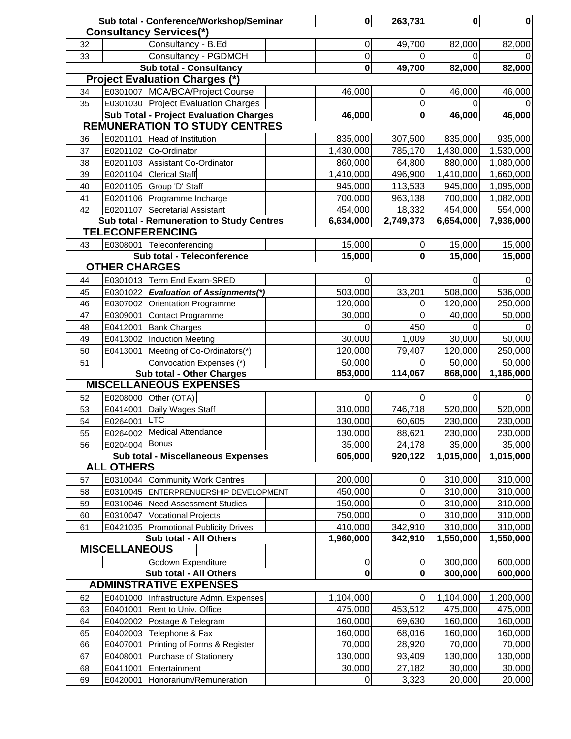|                                |                      | Sub total - Conference/Workshop/Seminar                 | $\mathbf 0$ | 263,731                  | $\mathbf 0$              | $\mathbf 0$        |           |
|--------------------------------|----------------------|---------------------------------------------------------|-------------|--------------------------|--------------------------|--------------------|-----------|
| <b>Consultancy Services(*)</b> |                      |                                                         |             |                          |                          |                    |           |
| 32                             |                      | Consultancy - B.Ed                                      |             | $\mathsf{O}\xspace$      | 49,700                   | 82,000             | 82,000    |
| 33                             |                      | Consultancy - PGDMCH                                    |             | 0                        | 0                        | 0                  |           |
| <b>Sub total - Consultancy</b> |                      |                                                         |             | $\overline{\mathbf{0}}$  | 49,700                   | 82,000             | 82,000    |
|                                |                      | <b>Project Evaluation Charges (*)</b>                   |             |                          |                          |                    |           |
| 34                             |                      | E0301007 MCA/BCA/Project Course                         |             | 46,000                   | 0                        | 46,000             | 46,000    |
| 35                             |                      | E0301030 Project Evaluation Charges                     |             |                          | 0                        | $\Omega$           |           |
|                                |                      | <b>Sub Total - Project Evaluation Charges</b>           |             | 46,000                   | $\mathbf 0$              | 46,000             | 46,000    |
|                                |                      | <b>REMUNERATION TO STUDY CENTRES</b>                    |             |                          |                          |                    |           |
| 36                             | E0201101             | Head of Institution                                     |             | 835,000                  | 307,500                  | 835,000            | 935,000   |
| 37                             |                      | E0201102 Co-Ordinator                                   |             | 1,430,000                | 785,170                  | 1,430,000          | 1,530,000 |
| 38                             |                      | E0201103 Assistant Co-Ordinator                         |             | 860,000                  | 64,800                   | 880,000            | 1,080,000 |
| 39                             |                      | E0201104 Clerical Staff                                 |             | 1,410,000                | 496,900                  | 1,410,000          | 1,660,000 |
| 40                             |                      | E0201105 Group 'D' Staff                                |             | 945,000                  | 113,533                  | 945,000            | 1,095,000 |
| 41                             |                      | E0201106 Programme Incharge                             |             | 700,000                  | 963,138                  | 700,000            | 1,082,000 |
| 42                             |                      | E0201107 Secretarial Assistant                          |             | 454,000                  | 18,332                   | 454,000            | 554,000   |
|                                |                      | Sub total - Remuneration to Study Centres               |             | 6,634,000                | 2,749,373                | 6,654,000          | 7,936,000 |
|                                |                      | <b>TELECONFERENCING</b>                                 |             |                          |                          |                    |           |
| 43                             |                      | E0308001 Teleconferencing                               |             | 15,000                   | $\pmb{0}$                | 15,000             | 15,000    |
|                                |                      | Sub total - Teleconference                              |             | 15,000                   | $\mathbf 0$              | 15,000             | 15,000    |
|                                | <b>OTHER CHARGES</b> |                                                         |             |                          |                          |                    |           |
| 44                             |                      | E0301013 Term End Exam-SRED                             |             | 0                        |                          | 0                  | 0         |
| 45                             |                      | E0301022 Evaluation of Assignments(*)                   |             | 503,000                  | 33,201                   | 508,000            | 536,000   |
| 46                             |                      | E0307002 Orientation Programme                          |             | 120,000                  | 0                        | 120,000            | 250,000   |
| 47                             |                      | E0309001 Contact Programme                              |             | 30,000                   | 0                        | 40,000             | 50,000    |
| 48                             |                      | E0412001 Bank Charges                                   |             | $\mathbf 0$              | 450                      | 0                  |           |
| 49                             |                      | E0413002  Induction Meeting                             |             | 30,000                   | 1,009                    | 30,000             | 50,000    |
| 50                             |                      | E0413001 Meeting of Co-Ordinators(*)                    |             | 120,000                  | 79,407                   | 120,000            | 250,000   |
| 51                             |                      | Convocation Expenses (*)                                |             | 50,000                   | 0                        | 50,000             | 50,000    |
|                                |                      | Sub total - Other Charges                               |             | 853,000                  | 114,067                  | 868,000            | 1,186,000 |
| <b>MISCELLANEOUS EXPENSES</b>  |                      |                                                         |             |                          |                          |                    |           |
| 52                             |                      | E0208000 Other (OTA)                                    |             | 0                        | 0                        | 0                  | 0         |
| 53                             |                      | E0414001 Daily Wages Staff                              |             | 310,000                  | 746,718                  | 520,000            | 520,000   |
| 54                             | E0264001             | <b>LTC</b>                                              |             | 130,000                  | 60,605                   | 230,000            | 230,000   |
| 55                             |                      | E0264002 Medical Attendance                             |             | 130,000                  | 88,621                   | 230,000            | 230,000   |
| 56                             | E0204004 Bonus       |                                                         |             | 35,000                   | 24,178                   | 35,000             | 35,000    |
|                                |                      | <b>Sub total - Miscellaneous Expenses</b>               |             | 605,000                  | 920,122                  | 1,015,000          | 1,015,000 |
|                                | <b>ALL OTHERS</b>    |                                                         |             |                          |                          |                    |           |
| 57                             |                      | E0310044 Community Work Centres                         |             | 200,000                  | 0                        | 310,000            | 310,000   |
| 58                             |                      | E0310045 ENTERPRENUERSHIP DEVELOPMENT                   |             | 450,000                  | 0                        | 310,000            | 310,000   |
| 59                             |                      | E0310046 Need Assessment Studies                        |             | 150,000                  | 0                        | 310,000            | 310,000   |
| 60                             |                      | E0310047 Vocational Projects                            |             | 750,000                  | 0                        | 310,000            | 310,000   |
| 61                             |                      | E0421035 Promotional Publicity Drives                   |             | 410,000                  | 342,910                  | 310,000            | 310,000   |
|                                |                      | Sub total - All Others                                  |             | 1,960,000                | 342,910                  | 1,550,000          | 1,550,000 |
|                                | <b>MISCELLANEOUS</b> |                                                         |             |                          |                          |                    |           |
|                                |                      | Godown Expenditure                                      |             | $\pmb{0}$<br>$\mathbf 0$ | $\pmb{0}$<br>$\mathbf 0$ | 300,000<br>300,000 | 600,000   |
|                                |                      | Sub total - All Others<br><b>ADMINSTRATIVE EXPENSES</b> |             |                          |                          |                    | 600,000   |
| 62                             |                      | E0401000 Infrastructure Admn. Expenses                  |             | 1,104,000                | $\mathbf 0$              | 1,104,000          | 1,200,000 |
|                                | E0401001             | Rent to Univ. Office                                    |             | 475,000                  | 453,512                  | 475,000            | 475,000   |
| 63<br>64                       |                      | E0402002 Postage & Telegram                             |             | 160,000                  | 69,630                   | 160,000            | 160,000   |
| 65                             |                      | E0402003 Telephone & Fax                                |             | 160,000                  | 68,016                   | 160,000            | 160,000   |
|                                | E0407001             | Printing of Forms & Register                            |             | 70,000                   | 28,920                   | 70,000             | 70,000    |
| 66<br>67                       | E0408001             | Purchase of Stationery                                  |             | 130,000                  | 93,409                   | 130,000            | 130,000   |
| 68                             | E0411001             | Entertainment                                           |             | 30,000                   | 27,182                   | 30,000             | 30,000    |
| 69                             | E0420001             | Honorarium/Remuneration                                 |             | $\pmb{0}$                | 3,323                    | 20,000             | 20,000    |
|                                |                      |                                                         |             |                          |                          |                    |           |